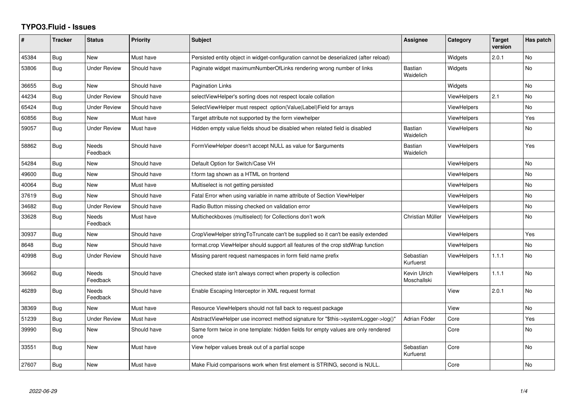## **TYPO3.Fluid - Issues**

| #     | <b>Tracker</b> | <b>Status</b>            | <b>Priority</b> | <b>Subject</b>                                                                            | <b>Assignee</b>             | Category           | <b>Target</b><br>version | Has patch      |
|-------|----------------|--------------------------|-----------------|-------------------------------------------------------------------------------------------|-----------------------------|--------------------|--------------------------|----------------|
| 45384 | Bug            | <b>New</b>               | Must have       | Persisted entity object in widget-configuration cannot be deserialized (after reload)     |                             | Widgets            | 2.0.1                    | <b>No</b>      |
| 53806 | Bug            | <b>Under Review</b>      | Should have     | Paginate widget maximumNumberOfLinks rendering wrong number of links                      | Bastian<br>Waidelich        | Widgets            |                          | <b>No</b>      |
| 36655 | Bug            | New                      | Should have     | <b>Pagination Links</b>                                                                   |                             | Widgets            |                          | <b>No</b>      |
| 44234 | Bug            | <b>Under Review</b>      | Should have     | selectViewHelper's sorting does not respect locale collation                              |                             | <b>ViewHelpers</b> | 2.1                      | No             |
| 65424 | Bug            | <b>Under Review</b>      | Should have     | SelectViewHelper must respect option(Value Label)Field for arrays                         |                             | ViewHelpers        |                          | N <sub>o</sub> |
| 60856 | Bug            | <b>New</b>               | Must have       | Target attribute not supported by the form viewhelper                                     |                             | ViewHelpers        |                          | Yes            |
| 59057 | Bug            | <b>Under Review</b>      | Must have       | Hidden empty value fields shoud be disabled when related field is disabled                | <b>Bastian</b><br>Waidelich | <b>ViewHelpers</b> |                          | <b>No</b>      |
| 58862 | <b>Bug</b>     | <b>Needs</b><br>Feedback | Should have     | FormViewHelper doesn't accept NULL as value for \$arguments                               | <b>Bastian</b><br>Waidelich | <b>ViewHelpers</b> |                          | Yes            |
| 54284 | Bug            | New                      | Should have     | Default Option for Switch/Case VH                                                         |                             | <b>ViewHelpers</b> |                          | <b>No</b>      |
| 49600 | <b>Bug</b>     | <b>New</b>               | Should have     | f:form tag shown as a HTML on frontend                                                    |                             | <b>ViewHelpers</b> |                          | N <sub>o</sub> |
| 40064 | Bug            | <b>New</b>               | Must have       | Multiselect is not getting persisted                                                      |                             | <b>ViewHelpers</b> |                          | No             |
| 37619 | Bug            | <b>New</b>               | Should have     | Fatal Error when using variable in name attribute of Section ViewHelper                   |                             | <b>ViewHelpers</b> |                          | <b>No</b>      |
| 34682 | Bug            | <b>Under Review</b>      | Should have     | Radio Button missing checked on validation error                                          |                             | ViewHelpers        |                          | <b>No</b>      |
| 33628 | Bug            | <b>Needs</b><br>Feedback | Must have       | Multicheckboxes (multiselect) for Collections don't work                                  | Christian Müller            | <b>ViewHelpers</b> |                          | <b>No</b>      |
| 30937 | Bug            | <b>New</b>               | Should have     | CropViewHelper stringToTruncate can't be supplied so it can't be easily extended          |                             | ViewHelpers        |                          | Yes            |
| 8648  | Bug            | <b>New</b>               | Should have     | format.crop ViewHelper should support all features of the crop stdWrap function           |                             | ViewHelpers        |                          | <b>No</b>      |
| 40998 | <b>Bug</b>     | <b>Under Review</b>      | Should have     | Missing parent request namespaces in form field name prefix                               | Sebastian<br>Kurfuerst      | <b>ViewHelpers</b> | 1.1.1                    | <b>No</b>      |
| 36662 | Bug            | <b>Needs</b><br>Feedback | Should have     | Checked state isn't always correct when property is collection                            | Kevin Ulrich<br>Moschallski | <b>ViewHelpers</b> | 1.1.1                    | <b>No</b>      |
| 46289 | Bug            | Needs<br>Feedback        | Should have     | Enable Escaping Interceptor in XML request format                                         |                             | View               | 2.0.1                    | <b>No</b>      |
| 38369 | Bug            | <b>New</b>               | Must have       | Resource ViewHelpers should not fall back to request package                              |                             | View               |                          | <b>No</b>      |
| 51239 | Bug            | <b>Under Review</b>      | Must have       | AbstractViewHelper use incorrect method signature for "\$this->systemLogger->log()"       | Adrian Föder                | Core               |                          | Yes            |
| 39990 | Bug            | New                      | Should have     | Same form twice in one template: hidden fields for empty values are only rendered<br>once |                             | Core               |                          | <b>No</b>      |
| 33551 | Bug            | <b>New</b>               | Must have       | View helper values break out of a partial scope                                           | Sebastian<br>Kurfuerst      | Core               |                          | <b>No</b>      |
| 27607 | Bug            | New                      | Must have       | Make Fluid comparisons work when first element is STRING, second is NULL.                 |                             | Core               |                          | No             |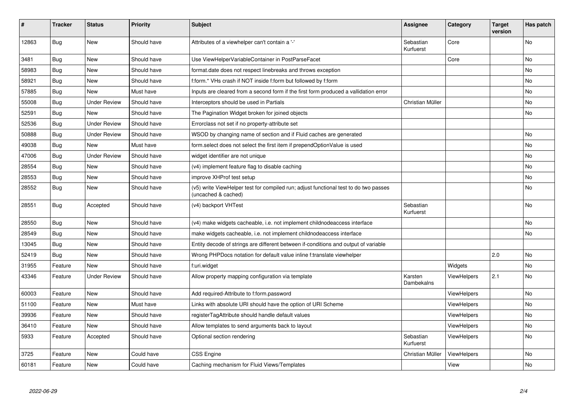| #     | <b>Tracker</b> | <b>Status</b>       | <b>Priority</b> | <b>Subject</b>                                                                                              | Assignee               | Category           | <b>Target</b><br>version | Has patch |
|-------|----------------|---------------------|-----------------|-------------------------------------------------------------------------------------------------------------|------------------------|--------------------|--------------------------|-----------|
| 12863 | <b>Bug</b>     | <b>New</b>          | Should have     | Attributes of a viewhelper can't contain a '-'                                                              | Sebastian<br>Kurfuerst | Core               |                          | <b>No</b> |
| 3481  | <b>Bug</b>     | New                 | Should have     | Use ViewHelperVariableContainer in PostParseFacet                                                           |                        | Core               |                          | <b>No</b> |
| 58983 | Bug            | New                 | Should have     | format.date does not respect linebreaks and throws exception                                                |                        |                    |                          | No        |
| 58921 | Bug            | New                 | Should have     | f:form.* VHs crash if NOT inside f:form but followed by f:form                                              |                        |                    |                          | <b>No</b> |
| 57885 | <b>Bug</b>     | New                 | Must have       | Inputs are cleared from a second form if the first form produced a vallidation error                        |                        |                    |                          | No        |
| 55008 | Bug            | Under Review        | Should have     | Interceptors should be used in Partials                                                                     | Christian Müller       |                    |                          | <b>No</b> |
| 52591 | Bug            | New                 | Should have     | The Pagination Widget broken for joined objects                                                             |                        |                    |                          | No        |
| 52536 | <b>Bug</b>     | Under Review        | Should have     | Errorclass not set if no property-attribute set                                                             |                        |                    |                          |           |
| 50888 | <b>Bug</b>     | <b>Under Review</b> | Should have     | WSOD by changing name of section and if Fluid caches are generated                                          |                        |                    |                          | <b>No</b> |
| 49038 | <b>Bug</b>     | New                 | Must have       | form select does not select the first item if prependOptionValue is used                                    |                        |                    |                          | No        |
| 47006 | Bug            | Under Review        | Should have     | widget identifier are not unique                                                                            |                        |                    |                          | No        |
| 28554 | <b>Bug</b>     | <b>New</b>          | Should have     | (v4) implement feature flag to disable caching                                                              |                        |                    |                          | <b>No</b> |
| 28553 | <b>Bug</b>     | New                 | Should have     | improve XHProf test setup                                                                                   |                        |                    |                          | <b>No</b> |
| 28552 | Bug            | New                 | Should have     | (v5) write ViewHelper test for compiled run; adjust functional test to do two passes<br>(uncached & cached) |                        |                    |                          | No        |
| 28551 | <b>Bug</b>     | Accepted            | Should have     | (v4) backport VHTest                                                                                        | Sebastian<br>Kurfuerst |                    |                          | <b>No</b> |
| 28550 | <b>Bug</b>     | <b>New</b>          | Should have     | (v4) make widgets cacheable, i.e. not implement childnodeaccess interface                                   |                        |                    |                          | <b>No</b> |
| 28549 | <b>Bug</b>     | New                 | Should have     | make widgets cacheable, i.e. not implement childnodeaccess interface                                        |                        |                    |                          | <b>No</b> |
| 13045 | <b>Bug</b>     | New                 | Should have     | Entity decode of strings are different between if-conditions and output of variable                         |                        |                    |                          |           |
| 52419 | Bug            | New                 | Should have     | Wrong PHPDocs notation for default value inline f:translate viewhelper                                      |                        |                    | 2.0                      | <b>No</b> |
| 31955 | Feature        | <b>New</b>          | Should have     | f:uri.widget                                                                                                |                        | Widgets            |                          | No        |
| 43346 | Feature        | <b>Under Review</b> | Should have     | Allow property mapping configuration via template                                                           | Karsten<br>Dambekalns  | <b>ViewHelpers</b> | 2.1                      | No        |
| 60003 | Feature        | <b>New</b>          | Should have     | Add required-Attribute to f:form.password                                                                   |                        | <b>ViewHelpers</b> |                          | <b>No</b> |
| 51100 | Feature        | New                 | Must have       | Links with absolute URI should have the option of URI Scheme                                                |                        | <b>ViewHelpers</b> |                          | No        |
| 39936 | Feature        | <b>New</b>          | Should have     | registerTagAttribute should handle default values                                                           |                        | ViewHelpers        |                          | No        |
| 36410 | Feature        | New                 | Should have     | Allow templates to send arguments back to layout                                                            |                        | <b>ViewHelpers</b> |                          | No        |
| 5933  | Feature        | Accepted            | Should have     | Optional section rendering                                                                                  | Sebastian<br>Kurfuerst | <b>ViewHelpers</b> |                          | No        |
| 3725  | Feature        | New                 | Could have      | CSS Engine                                                                                                  | Christian Müller       | <b>ViewHelpers</b> |                          | No        |
| 60181 | Feature        | <b>New</b>          | Could have      | Caching mechanism for Fluid Views/Templates                                                                 |                        | View               |                          | No        |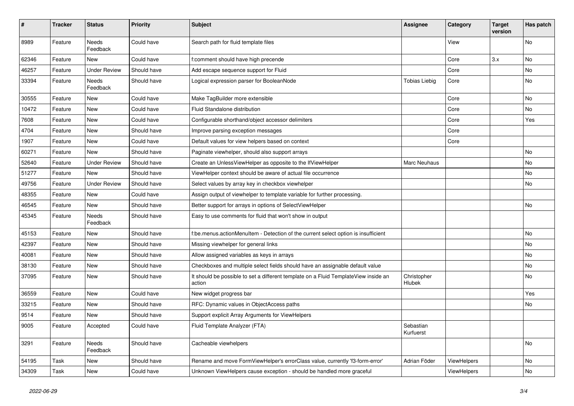| #     | <b>Tracker</b> | <b>Status</b>       | <b>Priority</b> | <b>Subject</b>                                                                                | <b>Assignee</b>              | Category    | <b>Target</b><br>version | Has patch |
|-------|----------------|---------------------|-----------------|-----------------------------------------------------------------------------------------------|------------------------------|-------------|--------------------------|-----------|
| 8989  | Feature        | Needs<br>Feedback   | Could have      | Search path for fluid template files                                                          |                              | View        |                          | <b>No</b> |
| 62346 | Feature        | New                 | Could have      | f:comment should have high precende                                                           |                              | Core        | 3.x                      | No        |
| 46257 | Feature        | <b>Under Review</b> | Should have     | Add escape sequence support for Fluid                                                         |                              | Core        |                          | No        |
| 33394 | Feature        | Needs<br>Feedback   | Should have     | Logical expression parser for BooleanNode                                                     | <b>Tobias Liebig</b>         | Core        |                          | No        |
| 30555 | Feature        | New                 | Could have      | Make TagBuilder more extensible                                                               |                              | Core        |                          | No        |
| 10472 | Feature        | New                 | Could have      | Fluid Standalone distribution                                                                 |                              | Core        |                          | No        |
| 7608  | Feature        | New                 | Could have      | Configurable shorthand/object accessor delimiters                                             |                              | Core        |                          | Yes       |
| 4704  | Feature        | New                 | Should have     | Improve parsing exception messages                                                            |                              | Core        |                          |           |
| 1907  | Feature        | New                 | Could have      | Default values for view helpers based on context                                              |                              | Core        |                          |           |
| 60271 | Feature        | New                 | Should have     | Paginate viewhelper, should also support arrays                                               |                              |             |                          | No        |
| 52640 | Feature        | <b>Under Review</b> | Should have     | Create an UnlessViewHelper as opposite to the IfViewHelper                                    | Marc Neuhaus                 |             |                          | No        |
| 51277 | Feature        | New                 | Should have     | ViewHelper context should be aware of actual file occurrence                                  |                              |             |                          | No        |
| 49756 | Feature        | <b>Under Review</b> | Should have     | Select values by array key in checkbox viewhelper                                             |                              |             |                          | No        |
| 48355 | Feature        | New                 | Could have      | Assign output of viewhelper to template variable for further processing.                      |                              |             |                          |           |
| 46545 | Feature        | New                 | Should have     | Better support for arrays in options of SelectViewHelper                                      |                              |             |                          | No        |
| 45345 | Feature        | Needs<br>Feedback   | Should have     | Easy to use comments for fluid that won't show in output                                      |                              |             |                          |           |
| 45153 | Feature        | New                 | Should have     | f:be.menus.actionMenuItem - Detection of the current select option is insufficient            |                              |             |                          | No        |
| 42397 | Feature        | New                 | Should have     | Missing viewhelper for general links                                                          |                              |             |                          | No        |
| 40081 | Feature        | New                 | Should have     | Allow assigned variables as keys in arrays                                                    |                              |             |                          | No        |
| 38130 | Feature        | New                 | Should have     | Checkboxes and multiple select fields should have an assignable default value                 |                              |             |                          | No        |
| 37095 | Feature        | New                 | Should have     | It should be possible to set a different template on a Fluid TemplateView inside an<br>action | Christopher<br><b>Hlubek</b> |             |                          | No        |
| 36559 | Feature        | New                 | Could have      | New widget progress bar                                                                       |                              |             |                          | Yes       |
| 33215 | Feature        | New                 | Should have     | RFC: Dynamic values in ObjectAccess paths                                                     |                              |             |                          | No        |
| 9514  | Feature        | New                 | Should have     | Support explicit Array Arguments for ViewHelpers                                              |                              |             |                          |           |
| 9005  | Feature        | Accepted            | Could have      | Fluid Template Analyzer (FTA)                                                                 | Sebastian<br>Kurfuerst       |             |                          |           |
| 3291  | Feature        | Needs<br>Feedback   | Should have     | Cacheable viewhelpers                                                                         |                              |             |                          | No        |
| 54195 | Task           | New                 | Should have     | Rename and move FormViewHelper's errorClass value, currently 'f3-form-error'                  | Adrian Föder                 | ViewHelpers |                          | No        |
| 34309 | Task           | New                 | Could have      | Unknown ViewHelpers cause exception - should be handled more graceful                         |                              | ViewHelpers |                          | No        |